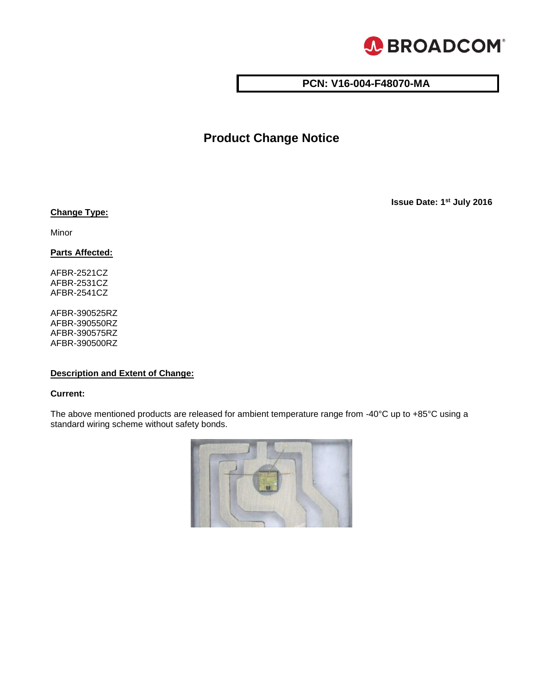

# **PCN: V16-004-F48070-MA**

# **Product Change Notice**

**Issue Date: 1 st July 2016**

### **Change Type:**

Minor

**Parts Affected:** 

AFBR-2521CZ AFBR-2531CZ AFBR-2541CZ

AFBR-390525RZ AFBR-390550RZ AFBR-390575RZ AFBR-390500RZ

## **Description and Extent of Change:**

#### **Current:**

The above mentioned products are released for ambient temperature range from -40°C up to +85°C using a standard wiring scheme without safety bonds.